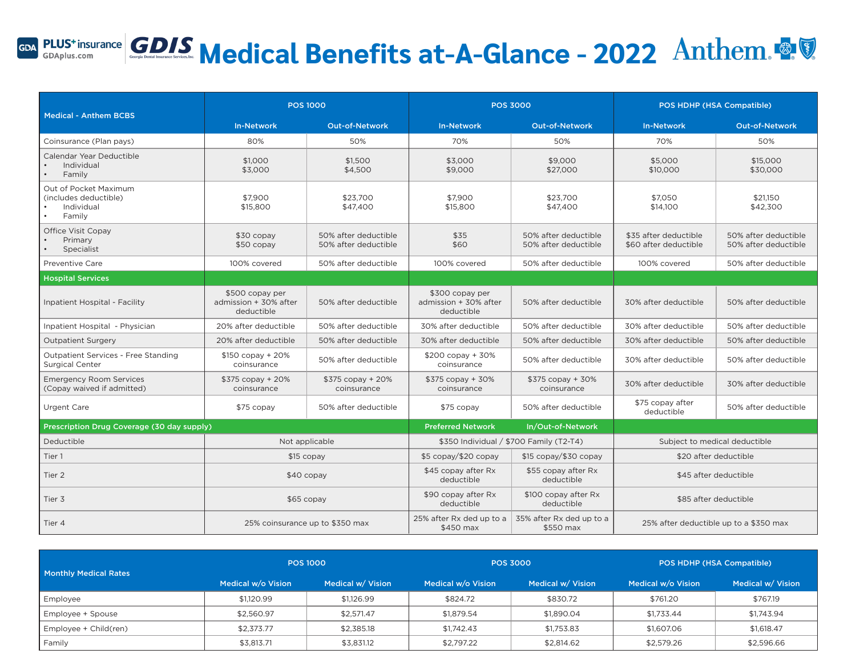# GDA PLUS<sup>+ insurance</sub> GDIS Medical Benefits at-A-Glance - 2022 Anthem.</sup>

|                                                                        | <b>POS 1000</b>                                        |                                              | <b>POS 3000</b>                                        |                                              | POS HDHP (HSA Compatible)                      |                                              |
|------------------------------------------------------------------------|--------------------------------------------------------|----------------------------------------------|--------------------------------------------------------|----------------------------------------------|------------------------------------------------|----------------------------------------------|
| <b>Medical - Anthem BCBS</b>                                           | <b>In-Network</b>                                      | <b>Out-of-Network</b>                        | <b>In-Network</b>                                      | Out-of-Network                               | <b>In-Network</b>                              | <b>Out-of-Network</b>                        |
| Coinsurance (Plan pays)                                                | 80%                                                    | 50%                                          | 70%                                                    | 50%                                          | 70%                                            | 50%                                          |
| Calendar Year Deductible<br>Individual<br>Family                       | \$1,000<br>\$3,000                                     | \$1,500<br>\$4,500                           | \$3,000<br>\$9,000                                     | \$9,000<br>\$27,000                          | \$5,000<br>\$10,000                            | \$15,000<br>\$30,000                         |
| Out of Pocket Maximum<br>(includes deductible)<br>Individual<br>Family | \$7,900<br>\$15,800                                    | \$23,700<br>\$47,400                         | \$7,900<br>\$15,800                                    | \$23,700<br>\$47,400                         | \$7,050<br>\$14,100                            | \$21,150<br>\$42,300                         |
| Office Visit Copay<br>Primary<br>Specialist                            | $$30$ copay<br>$$50$ copay                             | 50% after deductible<br>50% after deductible | \$35<br>\$60                                           | 50% after deductible<br>50% after deductible | \$35 after deductible<br>\$60 after deductible | 50% after deductible<br>50% after deductible |
| Preventive Care                                                        | 100% covered                                           | 50% after deductible                         | 100% covered                                           | 50% after deductible                         | 100% covered                                   | 50% after deductible                         |
| <b>Hospital Services</b>                                               |                                                        |                                              |                                                        |                                              |                                                |                                              |
| Inpatient Hospital - Facility                                          | \$500 copay per<br>admission + 30% after<br>deductible | 50% after deductible                         | \$300 copay per<br>admission + 30% after<br>deductible | 50% after deductible                         | 30% after deductible                           | 50% after deductible                         |
| Inpatient Hospital - Physician                                         | 20% after deductible                                   | 50% after deductible                         | 30% after deductible                                   | 50% after deductible                         | 30% after deductible                           | 50% after deductible                         |
| <b>Outpatient Surgery</b>                                              | 20% after deductible                                   | 50% after deductible                         | 30% after deductible                                   | 50% after deductible                         | 30% after deductible                           | 50% after deductible                         |
| <b>Outpatient Services - Free Standing</b><br><b>Surgical Center</b>   | $$150$ copay + 20%<br>coinsurance                      | 50% after deductible                         | $$200$ copay + 30%<br>coinsurance                      | 50% after deductible                         | 30% after deductible                           | 50% after deductible                         |
| <b>Emergency Room Services</b><br>(Copay waived if admitted)           | \$375 copay + 20%<br>coinsurance                       | \$375 copay + 20%<br>coinsurance             | $$375$ copay + 30%<br>coinsurance                      | $$375$ copay + 30%<br>coinsurance            | 30% after deductible                           | 30% after deductible                         |
| Urgent Care                                                            | \$75 copay                                             | 50% after deductible                         | \$75 copay                                             | 50% after deductible                         | \$75 copay after<br>deductible                 | 50% after deductible                         |
| Prescription Drug Coverage (30 day supply)                             |                                                        |                                              | <b>Preferred Network</b>                               | In/Out-of-Network                            |                                                |                                              |
| Deductible                                                             | Not applicable                                         |                                              | \$350 Individual / \$700 Family (T2-T4)                |                                              | Subject to medical deductible                  |                                              |
| Tier 1                                                                 | $$15$ copay                                            |                                              | \$5 copay/\$20 copay                                   | \$15 copay/\$30 copay                        | \$20 after deductible                          |                                              |
| Tier <sub>2</sub>                                                      | \$40 copay                                             |                                              | \$45 copay after Rx<br>deductible                      | \$55 copay after Rx<br>deductible            | \$45 after deductible                          |                                              |
| Tier 3                                                                 | $$65$ copay                                            |                                              | \$90 copay after Rx<br>deductible                      | \$100 copay after Rx<br>deductible           | \$85 after deductible                          |                                              |
| Tier 4                                                                 | 25% coinsurance up to \$350 max                        |                                              | 25% after Rx ded up to a<br>\$450 max                  | 35% after Rx ded up to a<br>\$550 max        | 25% after deductible up to a \$350 max         |                                              |

| <b>Monthly Medical Rates</b> | <b>POS 1000</b>    |                   | <b>POS 3000</b>    |                   | POS HDHP (HSA Compatible) |                   |
|------------------------------|--------------------|-------------------|--------------------|-------------------|---------------------------|-------------------|
|                              | Medical w/o Vision | Medical w/ Vision | Medical w/o Vision | Medical w/ Vision | Medical w/o Vision        | Medical w/ Vision |
| Employee                     | \$1,120.99         | \$1.126.99        | \$824.72           | \$830.72          | \$761.20                  | \$767.19          |
| Employee + Spouse            | \$2.560.97         | \$2.571.47        | \$1.879.54         | \$1,890.04        | \$1.733.44                | \$1,743.94        |
| Employee + Child(ren)        | \$2,373.77         | \$2,385.18        | \$1,742.43         | \$1,753.83        | \$1,607.06                | \$1,618.47        |
| Family                       | \$3,813.71         | \$3,831.12        | \$2,797.22         | \$2,814.62        | \$2,579.26                | \$2,596.66        |